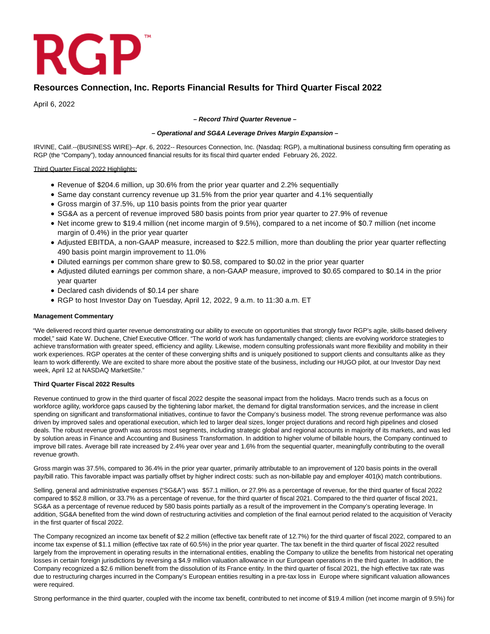

# **Resources Connection, Inc. Reports Financial Results for Third Quarter Fiscal 2022**

April 6, 2022

### **– Record Third Quarter Revenue –**

## **– Operational and SG&A Leverage Drives Margin Expansion –**

IRVINE, Calif.--(BUSINESS WIRE)--Apr. 6, 2022-- Resources Connection, Inc. (Nasdaq: RGP), a multinational business consulting firm operating as RGP (the "Company"), today announced financial results for its fiscal third quarter ended February 26, 2022.

## Third Quarter Fiscal 2022 Highlights:

- Revenue of \$204.6 million, up 30.6% from the prior year quarter and 2.2% sequentially
- Same day constant currency revenue up 31.5% from the prior year quarter and 4.1% sequentially
- Gross margin of 37.5%, up 110 basis points from the prior year quarter
- SG&A as a percent of revenue improved 580 basis points from prior year quarter to 27.9% of revenue
- Net income grew to \$19.4 million (net income margin of 9.5%), compared to a net income of \$0.7 million (net income margin of 0.4%) in the prior year quarter
- Adjusted EBITDA, a non-GAAP measure, increased to \$22.5 million, more than doubling the prior year quarter reflecting 490 basis point margin improvement to 11.0%
- Diluted earnings per common share grew to \$0.58, compared to \$0.02 in the prior year quarter
- Adjusted diluted earnings per common share, a non-GAAP measure, improved to \$0.65 compared to \$0.14 in the prior year quarter
- Declared cash dividends of \$0.14 per share
- RGP to host Investor Day on Tuesday, April 12, 2022, 9 a.m. to 11:30 a.m. ET

### **Management Commentary**

"We delivered record third quarter revenue demonstrating our ability to execute on opportunities that strongly favor RGP's agile, skills-based delivery model," said Kate W. Duchene, Chief Executive Officer. "The world of work has fundamentally changed; clients are evolving workforce strategies to achieve transformation with greater speed, efficiency and agility. Likewise, modern consulting professionals want more flexibility and mobility in their work experiences. RGP operates at the center of these converging shifts and is uniquely positioned to support clients and consultants alike as they learn to work differently. We are excited to share more about the positive state of the business, including our HUGO pilot, at our Investor Day next week, April 12 at NASDAQ MarketSite."

### **Third Quarter Fiscal 2022 Results**

Revenue continued to grow in the third quarter of fiscal 2022 despite the seasonal impact from the holidays. Macro trends such as a focus on workforce agility, workforce gaps caused by the tightening labor market, the demand for digital transformation services, and the increase in client spending on significant and transformational initiatives, continue to favor the Company's business model. The strong revenue performance was also driven by improved sales and operational execution, which led to larger deal sizes, longer project durations and record high pipelines and closed deals. The robust revenue growth was across most segments, including strategic global and regional accounts in majority of its markets, and was led by solution areas in Finance and Accounting and Business Transformation. In addition to higher volume of billable hours, the Company continued to improve bill rates. Average bill rate increased by 2.4% year over year and 1.6% from the sequential quarter, meaningfully contributing to the overall revenue growth.

Gross margin was 37.5%, compared to 36.4% in the prior year quarter, primarily attributable to an improvement of 120 basis points in the overall pay/bill ratio. This favorable impact was partially offset by higher indirect costs: such as non-billable pay and employer 401(k) match contributions.

Selling, general and administrative expenses ("SG&A") was \$57.1 million, or 27.9% as a percentage of revenue, for the third quarter of fiscal 2022 compared to \$52.8 million, or 33.7% as a percentage of revenue, for the third quarter of fiscal 2021. Compared to the third quarter of fiscal 2021, SG&A as a percentage of revenue reduced by 580 basis points partially as a result of the improvement in the Company's operating leverage. In addition, SG&A benefited from the wind down of restructuring activities and completion of the final earnout period related to the acquisition of Veracity in the first quarter of fiscal 2022.

The Company recognized an income tax benefit of \$2.2 million (effective tax benefit rate of 12.7%) for the third quarter of fiscal 2022, compared to an income tax expense of \$1.1 million (effective tax rate of 60.5%) in the prior year quarter. The tax benefit in the third quarter of fiscal 2022 resulted largely from the improvement in operating results in the international entities, enabling the Company to utilize the benefits from historical net operating losses in certain foreign jurisdictions by reversing a \$4.9 million valuation allowance in our European operations in the third quarter. In addition, the Company recognized a \$2.6 million benefit from the dissolution of its France entity. In the third quarter of fiscal 2021, the high effective tax rate was due to restructuring charges incurred in the Company's European entities resulting in a pre-tax loss in Europe where significant valuation allowances were required.

Strong performance in the third quarter, coupled with the income tax benefit, contributed to net income of \$19.4 million (net income margin of 9.5%) for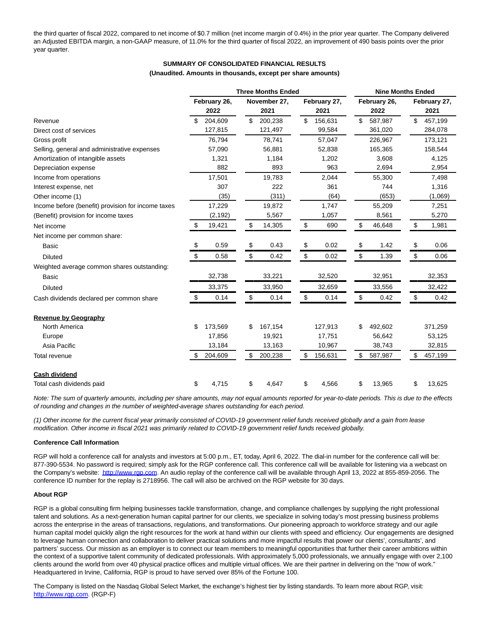the third quarter of fiscal 2022, compared to net income of \$0.7 million (net income margin of 0.4%) in the prior year quarter. The Company delivered an Adjusted EBITDA margin, a non-GAAP measure, of 11.0% for the third quarter of fiscal 2022, an improvement of 490 basis points over the prior year quarter.

# **SUMMARY OF CONSOLIDATED FINANCIAL RESULTS**

#### **(Unaudited. Amounts in thousands, except per share amounts)**

|                                                    |                      | <b>Three Months Ended</b> |                      |    | <b>Nine Months Ended</b> |                      |
|----------------------------------------------------|----------------------|---------------------------|----------------------|----|--------------------------|----------------------|
|                                                    | February 26,<br>2022 | November 27,<br>2021      | February 27,<br>2021 |    | February 26,<br>2022     | February 27,<br>2021 |
| Revenue                                            | 204,609              | \$<br>200,238             | \$<br>156,631        | \$ | 587,987                  | \$<br>457,199        |
| Direct cost of services                            | 127,815              | 121,497                   | 99,584               |    | 361,020                  | 284,078              |
| Gross profit                                       | 76,794               | 78,741                    | 57,047               |    | 226,967                  | 173,121              |
| Selling, general and administrative expenses       | 57,090               | 56.881                    | 52.838               |    | 165,365                  | 158,544              |
| Amortization of intangible assets                  | 1,321                | 1,184                     | 1,202                |    | 3,608                    | 4,125                |
| Depreciation expense                               | 882                  | 893                       | 963                  |    | 2,694                    | 2,954                |
| Income from operations                             | 17,501               | 19,783                    | 2,044                |    | 55,300                   | 7,498                |
| Interest expense, net                              | 307                  | 222                       | 361                  |    | 744                      | 1,316                |
| Other income (1)                                   | (35)                 | (311)                     | (64)                 |    | (653)                    | (1,069)              |
| Income before (benefit) provision for income taxes | 17,229               | 19,872                    | 1,747                |    | 55,209                   | 7,251                |
| (Benefit) provision for income taxes               | (2, 192)             | 5,567                     | 1,057                |    | 8,561                    | 5,270                |
| Net income                                         | \$<br>19,421         | \$<br>14,305              | \$<br>690            | \$ | 46,648                   | \$<br>1,981          |
| Net income per common share:                       |                      |                           |                      |    |                          |                      |
| <b>Basic</b>                                       | \$<br>0.59           | \$<br>0.43                | \$<br>0.02           | \$ | 1.42                     | \$<br>0.06           |
| <b>Diluted</b>                                     | \$<br>0.58           | \$<br>0.42                | \$<br>0.02           | \$ | 1.39                     | \$<br>0.06           |
| Weighted average common shares outstanding:        |                      |                           |                      |    |                          |                      |
| Basic                                              | 32,738               | 33,221                    | 32,520               |    | 32,951                   | 32,353               |
| <b>Diluted</b>                                     | 33,375               | 33,950                    | 32,659               |    | 33,556                   | 32,422               |
| Cash dividends declared per common share           | \$<br>0.14           | \$<br>0.14                | \$<br>0.14           | \$ | 0.42                     | \$<br>0.42           |
| <b>Revenue by Geography</b>                        |                      |                           |                      |    |                          |                      |
| North America                                      | \$<br>173,569        | \$<br>167,154             | 127,913              | S  | 492,602                  | 371,259              |
| Europe                                             | 17,856               | 19,921                    | 17,751               |    | 56,642                   | 53,125               |
| Asia Pacific                                       | 13,184               | 13,163                    | 10,967               |    | 38,743                   | 32,815               |
| Total revenue                                      | \$<br>204,609        | \$<br>200,238             | \$<br>156,631        | \$ | 587,987                  | \$<br>457,199        |
| <b>Cash dividend</b>                               |                      |                           |                      |    |                          |                      |
| Total cash dividends paid                          | \$<br>4,715          | \$<br>4,647               | \$<br>4,566          | \$ | 13,965                   | \$<br>13,625         |

Note: The sum of quarterly amounts, including per share amounts, may not equal amounts reported for year-to-date periods. This is due to the effects of rounding and changes in the number of weighted-average shares outstanding for each period.

(1) Other income for the current fiscal year primarily consisted of COVID-19 government relief funds received globally and a gain from lease modification. Other income in fiscal 2021 was primarily related to COVID-19 government relief funds received globally.

### **Conference Call Information**

RGP will hold a conference call for analysts and investors at 5:00 p.m., ET, today, April 6, 2022. The dial-in number for the conference call will be: 877-390-5534. No password is required; simply ask for the RGP conference call. This conference call will be available for listening via a webcast on the Company's website: [http://www.rgp.com.](https://cts.businesswire.com/ct/CT?id=smartlink&url=http%3A%2F%2Fwww.rgp.com&esheet=52658953&newsitemid=20220406005467&lan=en-US&anchor=http%3A%2F%2Fwww.rgp.com&index=1&md5=844f363d77d2c6332f28429b70d6b35f) An audio replay of the conference call will be available through April 13, 2022 at 855-859-2056. The conference ID number for the replay is 2718956. The call will also be archived on the RGP website for 30 days.

#### **About RGP**

RGP is a global consulting firm helping businesses tackle transformation, change, and compliance challenges by supplying the right professional talent and solutions. As a next-generation human capital partner for our clients, we specialize in solving today's most pressing business problems across the enterprise in the areas of transactions, regulations, and transformations. Our pioneering approach to workforce strategy and our agile human capital model quickly align the right resources for the work at hand within our clients with speed and efficiency. Our engagements are designed to leverage human connection and collaboration to deliver practical solutions and more impactful results that power our clients', consultants', and partners' success. Our mission as an employer is to connect our team members to meaningful opportunities that further their career ambitions within the context of a supportive talent community of dedicated professionals. With approximately 5,000 professionals, we annually engage with over 2,100 clients around the world from over 40 physical practice offices and multiple virtual offices. We are their partner in delivering on the "now of work." Headquartered in Irvine, California, RGP is proud to have served over 85% of the Fortune 100.

The Company is listed on the Nasdaq Global Select Market, the exchange's highest tier by listing standards. To learn more about RGP, visit: [http://www.rgp.com.](https://cts.businesswire.com/ct/CT?id=smartlink&url=http%3A%2F%2Fwww.rgp.com&esheet=52658953&newsitemid=20220406005467&lan=en-US&anchor=http%3A%2F%2Fwww.rgp.com&index=2&md5=28ee0d3140ad2008fca0aee0dd54b684) (RGP-F)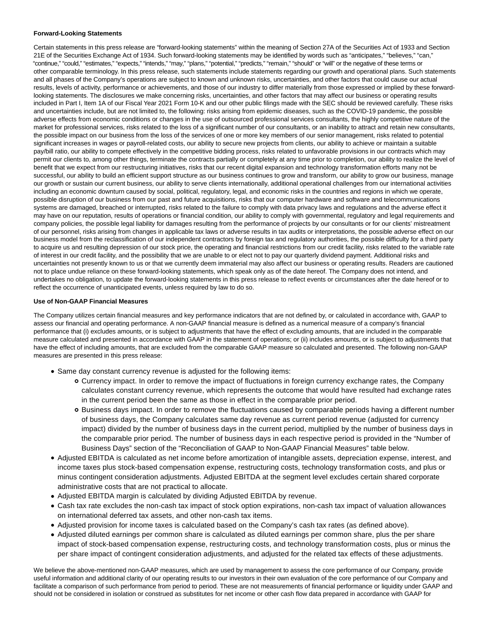#### **Forward-Looking Statements**

Certain statements in this press release are "forward-looking statements" within the meaning of Section 27A of the Securities Act of 1933 and Section 21E of the Securities Exchange Act of 1934. Such forward-looking statements may be identified by words such as "anticipates," "believes," "can," "continue," "could," "estimates," "expects," "intends," "may," "plans," "potential," "predicts," "remain," "should" or "will" or the negative of these terms or other comparable terminology. In this press release, such statements include statements regarding our growth and operational plans. Such statements and all phases of the Company's operations are subject to known and unknown risks, uncertainties, and other factors that could cause our actual results, levels of activity, performance or achievements, and those of our industry to differ materially from those expressed or implied by these forwardlooking statements. The disclosures we make concerning risks, uncertainties, and other factors that may affect our business or operating results included in Part I, Item 1A of our Fiscal Year 2021 Form 10-K and our other public filings made with the SEC should be reviewed carefully. These risks and uncertainties include, but are not limited to, the following: risks arising from epidemic diseases, such as the COVID-19 pandemic, the possible adverse effects from economic conditions or changes in the use of outsourced professional services consultants, the highly competitive nature of the market for professional services, risks related to the loss of a significant number of our consultants, or an inability to attract and retain new consultants, the possible impact on our business from the loss of the services of one or more key members of our senior management, risks related to potential significant increases in wages or payroll-related costs, our ability to secure new projects from clients, our ability to achieve or maintain a suitable pay/bill ratio, our ability to compete effectively in the competitive bidding process, risks related to unfavorable provisions in our contracts which may permit our clients to, among other things, terminate the contracts partially or completely at any time prior to completion, our ability to realize the level of benefit that we expect from our restructuring initiatives, risks that our recent digital expansion and technology transformation efforts many not be successful, our ability to build an efficient support structure as our business continues to grow and transform, our ability to grow our business, manage our growth or sustain our current business, our ability to serve clients internationally, additional operational challenges from our international activities including an economic downturn caused by social, political, regulatory, legal, and economic risks in the countries and regions in which we operate, possible disruption of our business from our past and future acquisitions, risks that our computer hardware and software and telecommunications systems are damaged, breached or interrupted, risks related to the failure to comply with data privacy laws and regulations and the adverse effect it may have on our reputation, results of operations or financial condition, our ability to comply with governmental, regulatory and legal requirements and company policies, the possible legal liability for damages resulting from the performance of projects by our consultants or for our clients' mistreatment of our personnel, risks arising from changes in applicable tax laws or adverse results in tax audits or interpretations, the possible adverse effect on our business model from the reclassification of our independent contractors by foreign tax and regulatory authorities, the possible difficulty for a third party to acquire us and resulting depression of our stock price, the operating and financial restrictions from our credit facility, risks related to the variable rate of interest in our credit facility, and the possibility that we are unable to or elect not to pay our quarterly dividend payment. Additional risks and uncertainties not presently known to us or that we currently deem immaterial may also affect our business or operating results. Readers are cautioned not to place undue reliance on these forward-looking statements, which speak only as of the date hereof. The Company does not intend, and undertakes no obligation, to update the forward-looking statements in this press release to reflect events or circumstances after the date hereof or to reflect the occurrence of unanticipated events, unless required by law to do so.

### **Use of Non-GAAP Financial Measures**

The Company utilizes certain financial measures and key performance indicators that are not defined by, or calculated in accordance with, GAAP to assess our financial and operating performance. A non-GAAP financial measure is defined as a numerical measure of a company's financial performance that (i) excludes amounts, or is subject to adjustments that have the effect of excluding amounts, that are included in the comparable measure calculated and presented in accordance with GAAP in the statement of operations; or (ii) includes amounts, or is subject to adjustments that have the effect of including amounts, that are excluded from the comparable GAAP measure so calculated and presented. The following non-GAAP measures are presented in this press release:

- Same day constant currency revenue is adjusted for the following items:
	- Currency impact. In order to remove the impact of fluctuations in foreign currency exchange rates, the Company calculates constant currency revenue, which represents the outcome that would have resulted had exchange rates in the current period been the same as those in effect in the comparable prior period.
	- o Business days impact. In order to remove the fluctuations caused by comparable periods having a different number of business days, the Company calculates same day revenue as current period revenue (adjusted for currency impact) divided by the number of business days in the current period, multiplied by the number of business days in the comparable prior period. The number of business days in each respective period is provided in the "Number of Business Days" section of the "Reconciliation of GAAP to Non-GAAP Financial Measures" table below.
- Adjusted EBITDA is calculated as net income before amortization of intangible assets, depreciation expense, interest, and income taxes plus stock-based compensation expense, restructuring costs, technology transformation costs, and plus or minus contingent consideration adjustments. Adjusted EBITDA at the segment level excludes certain shared corporate administrative costs that are not practical to allocate.
- Adjusted EBITDA margin is calculated by dividing Adjusted EBITDA by revenue.
- Cash tax rate excludes the non-cash tax impact of stock option expirations, non-cash tax impact of valuation allowances on international deferred tax assets, and other non-cash tax items.
- Adjusted provision for income taxes is calculated based on the Company's cash tax rates (as defined above).
- Adjusted diluted earnings per common share is calculated as diluted earnings per common share, plus the per share impact of stock-based compensation expense, restructuring costs, and technology transformation costs, plus or minus the per share impact of contingent consideration adjustments, and adjusted for the related tax effects of these adjustments.

We believe the above-mentioned non-GAAP measures, which are used by management to assess the core performance of our Company, provide useful information and additional clarity of our operating results to our investors in their own evaluation of the core performance of our Company and facilitate a comparison of such performance from period to period. These are not measurements of financial performance or liquidity under GAAP and should not be considered in isolation or construed as substitutes for net income or other cash flow data prepared in accordance with GAAP for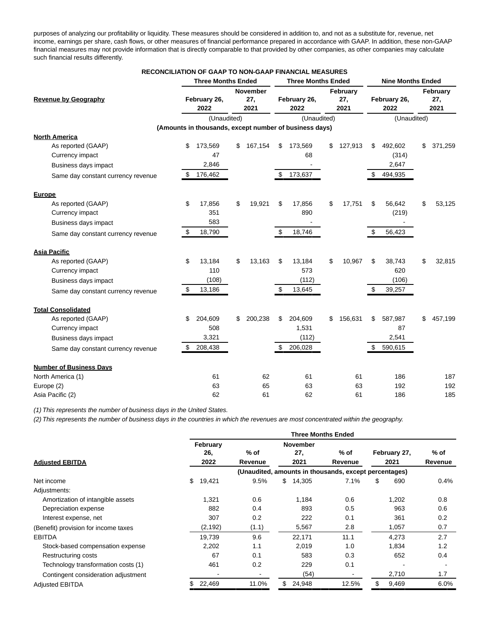purposes of analyzing our profitability or liquidity. These measures should be considered in addition to, and not as a substitute for, revenue, net income, earnings per share, cash flows, or other measures of financial performance prepared in accordance with GAAP. In addition, these non-GAAP financial measures may not provide information that is directly comparable to that provided by other companies, as other companies may calculate such financial results differently.

|                                    |    | <b>RECONCILIATION OF GAAP TO NON-GAAP FINANCIAL MEASURES</b> |                 |    |                           |      |          |                          |               |
|------------------------------------|----|--------------------------------------------------------------|-----------------|----|---------------------------|------|----------|--------------------------|---------------|
|                                    |    | <b>Three Months Ended</b>                                    |                 |    | <b>Three Months Ended</b> |      |          | <b>Nine Months Ended</b> |               |
|                                    |    |                                                              | <b>November</b> |    |                           |      | February |                          | February      |
| <b>Revenue by Geography</b>        |    | February 26,                                                 | 27,             |    | February 26,              |      | 27,      | February 26,             | 27,           |
|                                    |    | 2022                                                         | 2021            |    | 2022                      | 2021 |          | 2022                     | 2021          |
|                                    |    | (Unaudited)                                                  |                 |    | (Unaudited)               |      |          | (Unaudited)              |               |
|                                    |    | (Amounts in thousands, except number of business days)       |                 |    |                           |      |          |                          |               |
| <b>North America</b>               |    |                                                              |                 |    |                           |      |          |                          |               |
| As reported (GAAP)                 | \$ | 173,569                                                      | \$<br>167,154   | \$ | 173,569                   | \$   | 127,913  | \$<br>492,602            | \$<br>371,259 |
| Currency impact                    |    | 47                                                           |                 |    | 68                        |      |          | (314)                    |               |
| Business days impact               |    | 2,846                                                        |                 |    |                           |      |          | 2,647                    |               |
| Same day constant currency revenue | S  | 176,462                                                      |                 | S  | 173,637                   |      |          | 494,935                  |               |
| <b>Europe</b>                      |    |                                                              |                 |    |                           |      |          |                          |               |
| As reported (GAAP)                 | \$ | 17,856                                                       | \$<br>19,921    | \$ | 17,856                    | \$   | 17,751   | \$<br>56,642             | \$<br>53,125  |
| Currency impact                    |    | 351                                                          |                 |    | 890                       |      |          | (219)                    |               |
| Business days impact               |    | 583                                                          |                 |    |                           |      |          |                          |               |
| Same day constant currency revenue | \$ | 18,790                                                       |                 | \$ | 18,746                    |      |          | \$<br>56,423             |               |
| <b>Asia Pacific</b>                |    |                                                              |                 |    |                           |      |          |                          |               |
| As reported (GAAP)                 | \$ | 13,184                                                       | \$<br>13,163    | \$ | 13,184                    | \$   | 10,967   | \$<br>38,743             | \$<br>32,815  |
| Currency impact                    |    | 110                                                          |                 |    | 573                       |      |          | 620                      |               |
| Business days impact               |    | (108)                                                        |                 |    | (112)                     |      |          | (106)                    |               |
| Same day constant currency revenue | \$ | 13,186                                                       |                 | \$ | 13,645                    |      |          | 39,257                   |               |
| <b>Total Consolidated</b>          |    |                                                              |                 |    |                           |      |          |                          |               |
| As reported (GAAP)                 | \$ | 204,609                                                      | \$<br>200,238   | \$ | 204,609                   | \$   | 156,631  | \$<br>587,987            | \$<br>457,199 |
| Currency impact                    |    | 508                                                          |                 |    | 1,531                     |      |          | 87                       |               |
| Business days impact               |    | 3,321                                                        |                 |    | (112)                     |      |          | 2,541                    |               |
| Same day constant currency revenue | \$ | 208,438                                                      |                 | \$ | 206,028                   |      |          | \$<br>590,615            |               |
| <b>Number of Business Days</b>     |    |                                                              |                 |    |                           |      |          |                          |               |
| North America (1)                  |    | 61                                                           | 62              |    | 61                        |      | 61       | 186                      | 187           |
| Europe (2)                         |    | 63                                                           | 65              |    | 63                        |      | 63       | 192                      | 192           |
| Asia Pacific (2)                   |    | 62                                                           | 61              |    | 62                        |      | 61       | 186                      | 185           |

(1) This represents the number of business days in the United States.

(2) This represents the number of business days in the countries in which the revenues are most concentrated within the geography.

|                                      |                 |         | <b>Three Months Ended</b>                             |         |              |         |
|--------------------------------------|-----------------|---------|-------------------------------------------------------|---------|--------------|---------|
|                                      | February<br>26, | $%$ of  | <b>November</b><br>27,                                | % of    | February 27, | % of    |
| <b>Adjusted EBITDA</b>               | 2022            | Revenue | 2021                                                  | Revenue | 2021         | Revenue |
|                                      |                 |         | (Unaudited, amounts in thousands, except percentages) |         |              |         |
| Net income                           | \$<br>19,421    | 9.5%    | \$<br>14,305                                          | 7.1%    | \$<br>690    | 0.4%    |
| Adjustments:                         |                 |         |                                                       |         |              |         |
| Amortization of intangible assets    | 1,321           | 0.6     | 1,184                                                 | 0.6     | 1,202        | 0.8     |
| Depreciation expense                 | 882             | 0.4     | 893                                                   | 0.5     | 963          | 0.6     |
| Interest expense, net                | 307             | 0.2     | 222                                                   | 0.1     | 361          | 0.2     |
| (Benefit) provision for income taxes | (2, 192)        | (1.1)   | 5,567                                                 | 2.8     | 1,057        | 0.7     |
| <b>EBITDA</b>                        | 19,739          | 9.6     | 22,171                                                | 11.1    | 4,273        | 2.7     |
| Stock-based compensation expense     | 2,202           | 1.1     | 2,019                                                 | 1.0     | 1,834        | 1.2     |
| Restructuring costs                  | 67              | 0.1     | 583                                                   | 0.3     | 652          | 0.4     |
| Technology transformation costs (1)  | 461             | 0.2     | 229                                                   | 0.1     |              |         |
| Contingent consideration adjustment  |                 |         | (54)                                                  |         | 2,710        | 1.7     |
| <b>Adjusted EBITDA</b>               | 22,469          | 11.0%   | \$<br>24,948                                          | 12.5%   | \$<br>9,469  | 6.0%    |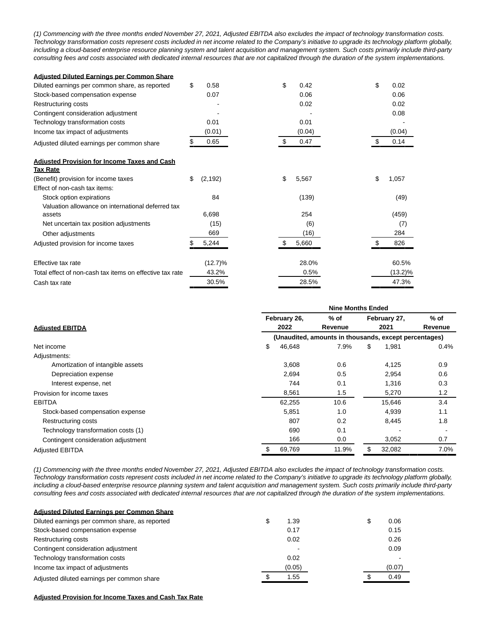(1) Commencing with the three months ended November 27, 2021, Adjusted EBITDA also excludes the impact of technology transformation costs. Technology transformation costs represent costs included in net income related to the Company's initiative to upgrade its technology platform globally, including a cloud-based enterprise resource planning system and talent acquisition and management system. Such costs primarily include third-party consulting fees and costs associated with dedicated internal resources that are not capitalized through the duration of the system implementations.

| <b>Adiusted Diluted Earnings per Common Share</b>        |                |     |        |    |            |
|----------------------------------------------------------|----------------|-----|--------|----|------------|
| Diluted earnings per common share, as reported           | \$<br>0.58     | \$  | 0.42   | \$ | 0.02       |
| Stock-based compensation expense                         | 0.07           |     | 0.06   |    | 0.06       |
| Restructuring costs                                      |                |     | 0.02   |    | 0.02       |
| Contingent consideration adjustment                      |                |     |        |    | 0.08       |
| Technology transformation costs                          | 0.01           |     | 0.01   |    |            |
| Income tax impact of adjustments                         | (0.01)         |     | (0.04) |    | (0.04)     |
| Adjusted diluted earnings per common share               | 0.65           | \$. | 0.47   |    | 0.14       |
| <b>Adjusted Provision for Income Taxes and Cash</b>      |                |     |        |    |            |
| <b>Tax Rate</b>                                          |                |     |        |    |            |
| (Benefit) provision for income taxes                     | \$<br>(2, 192) | \$  | 5,567  | \$ | 1,057      |
| Effect of non-cash tax items:                            |                |     |        |    |            |
| Stock option expirations                                 | 84             |     | (139)  |    | (49)       |
| Valuation allowance on international deferred tax        |                |     |        |    |            |
| assets                                                   | 6,698          |     | 254    |    | (459)      |
| Net uncertain tax position adjustments                   | (15)           |     | (6)    |    | (7)        |
| Other adjustments                                        | 669            |     | (16)   |    | 284        |
| Adjusted provision for income taxes                      | 5,244          |     | 5,660  |    | 826        |
| Effective tax rate                                       | $(12.7)\%$     |     | 28.0%  |    | 60.5%      |
| Total effect of non-cash tax items on effective tax rate | 43.2%          |     | 0.5%   |    | $(13.2)\%$ |
| Cash tax rate                                            | 30.5%          |     | 28.5%  |    | 47.3%      |

|                                     |              | <b>Nine Months Ended</b> |                                                       |         |
|-------------------------------------|--------------|--------------------------|-------------------------------------------------------|---------|
|                                     | February 26, | % of                     | February 27,                                          | % of    |
| <b>Adjusted EBITDA</b>              | 2022         | Revenue                  | 2021                                                  | Revenue |
|                                     |              |                          | (Unaudited, amounts in thousands, except percentages) |         |
| Net income                          | \$<br>46,648 | 7.9%                     | \$<br>1,981                                           | $0.4\%$ |
| Adjustments:                        |              |                          |                                                       |         |
| Amortization of intangible assets   | 3,608        | 0.6                      | 4,125                                                 | 0.9     |
| Depreciation expense                | 2,694        | 0.5                      | 2,954                                                 | 0.6     |
| Interest expense, net               | 744          | 0.1                      | 1,316                                                 | 0.3     |
| Provision for income taxes          | 8,561        | 1.5                      | 5,270                                                 | 1.2     |
| <b>EBITDA</b>                       | 62,255       | 10.6                     | 15,646                                                | 3.4     |
| Stock-based compensation expense    | 5,851        | 1.0                      | 4,939                                                 | 1.1     |
| Restructuring costs                 | 807          | 0.2                      | 8,445                                                 | 1.8     |
| Technology transformation costs (1) | 690          | 0.1                      |                                                       |         |
| Contingent consideration adjustment | 166          | 0.0                      | 3,052                                                 | 0.7     |
| <b>Adjusted EBITDA</b>              | \$<br>69,769 | 11.9%                    | \$<br>32,082                                          | 7.0%    |

(1) Commencing with the three months ended November 27, 2021, Adjusted EBITDA also excludes the impact of technology transformation costs. Technology transformation costs represent costs included in net income related to the Company's initiative to upgrade its technology platform globally, including a cloud-based enterprise resource planning system and talent acquisition and management system. Such costs primarily include third-party consulting fees and costs associated with dedicated internal resources that are not capitalized through the duration of the system implementations.

| <b>Adiusted Diluted Earnings per Common Share</b> |        |  |        |
|---------------------------------------------------|--------|--|--------|
| Diluted earnings per common share, as reported    | 1.39   |  | 0.06   |
| Stock-based compensation expense                  | 0.17   |  | 0.15   |
| Restructuring costs                               | 0.02   |  | 0.26   |
| Contingent consideration adjustment               |        |  | 0.09   |
| Technology transformation costs                   | 0.02   |  |        |
| Income tax impact of adjustments                  | (0.05) |  | (0.07) |
| Adjusted diluted earnings per common share        | 1.55   |  | 0.49   |

### **Adjusted Provision for Income Taxes and Cash Tax Rate**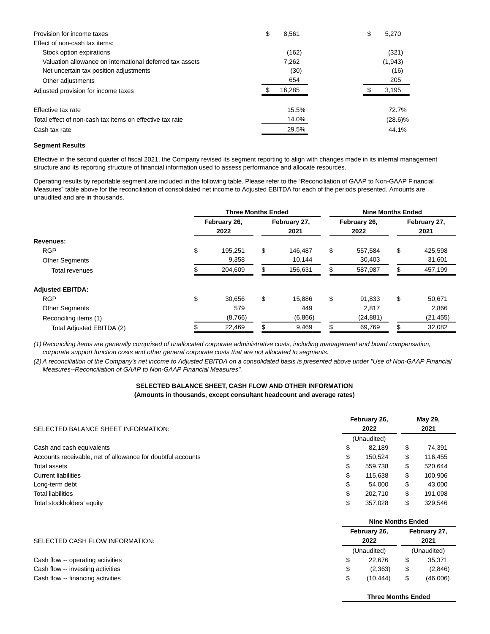| Provision for income taxes                               | \$<br>8,561 | \$<br>5.270 |
|----------------------------------------------------------|-------------|-------------|
| Effect of non-cash tax items:                            |             |             |
| Stock option expirations                                 | (162)       | (321)       |
| Valuation allowance on international deferred tax assets | 7.262       | (1, 943)    |
| Net uncertain tax position adjustments                   | (30)        | (16)        |
| Other adjustments                                        | 654         | 205         |
| Adjusted provision for income taxes                      | 16,285      | 3,195       |
| Effective tax rate                                       | 15.5%       | 72.7%       |
| Total effect of non-cash tax items on effective tax rate | 14.0%       | $(28.6)\%$  |
| Cash tax rate                                            | 29.5%       | 44.1%       |

#### **Segment Results**

Effective in the second quarter of fiscal 2021, the Company revised its segment reporting to align with changes made in its internal management structure and its reporting structure of financial information used to assess performance and allocate resources.

Operating results by reportable segment are included in the following table. Please refer to the "Reconciliation of GAAP to Non-GAAP Financial Measures" table above for the reconciliation of consolidated net income to Adjusted EBITDA for each of the periods presented. Amounts are unaudited and are in thousands.

|                           | <b>Three Months Ended</b> |                      | <b>Nine Months Ended</b> |                      |
|---------------------------|---------------------------|----------------------|--------------------------|----------------------|
|                           | February 26,<br>2022      | February 27,<br>2021 | February 26,<br>2022     | February 27,<br>2021 |
| Revenues:                 |                           |                      |                          |                      |
| <b>RGP</b>                | \$<br>195.251             | \$<br>146.487        | \$<br>557.584            | \$<br>425,598        |
| <b>Other Segments</b>     | 9,358                     | 10,144               | 30,403                   | 31,601               |
| <b>Total revenues</b>     | 204,609                   | 156,631              | 587,987                  | 457,199              |
| <b>Adjusted EBITDA:</b>   |                           |                      |                          |                      |
| <b>RGP</b>                | \$<br>30.656              | \$<br>15.886         | \$<br>91,833             | \$<br>50,671         |
| <b>Other Segments</b>     | 579                       | 449                  | 2.817                    | 2,866                |
| Reconciling items (1)     | (8,766)                   | (6,866)              | (24, 881)                | (21, 455)            |
| Total Adjusted EBITDA (2) | 22,469                    | \$<br>9,469          | 69,769                   | 32,082               |

(1) Reconciling items are generally comprised of unallocated corporate administrative costs, including management and board compensation, corporate support function costs and other general corporate costs that are not allocated to segments.

(2) A reconciliation of the Company's net income to Adjusted EBITDA on a consolidated basis is presented above under "Use of Non-GAAP Financial Measures--Reconciliation of GAAP to Non-GAAP Financial Measures".

# **SELECTED BALANCE SHEET, CASH FLOW AND OTHER INFORMATION**

**(Amounts in thousands, except consultant headcount and average rates)**

| SELECTED BALANCE SHEET INFORMATION:                         | February 26, |                          | May 29,<br>2021 |         |  |  |  |
|-------------------------------------------------------------|--------------|--------------------------|-----------------|---------|--|--|--|
|                                                             | (Unaudited)  |                          |                 |         |  |  |  |
| Cash and cash equivalents                                   | \$           | 82.189                   | \$              | 74,391  |  |  |  |
| Accounts receivable, net of allowance for doubtful accounts | \$           | 150.524                  | \$              | 116,455 |  |  |  |
| Total assets                                                | \$           | 559.738                  | \$              | 520,644 |  |  |  |
| <b>Current liabilities</b>                                  | \$           | 115.638                  | \$              | 100,906 |  |  |  |
| Long-term debt                                              | \$           | 54.000                   | \$              | 43,000  |  |  |  |
| <b>Total liabilities</b>                                    | \$           | 202.710                  | \$              | 191.098 |  |  |  |
| Total stockholders' equity                                  | \$           | 357.028                  | \$              | 329.546 |  |  |  |
|                                                             |              | <b>Nine Months Ended</b> |                 |         |  |  |  |

|                                   | February 26, |    | February 27,<br>2021 |  |  |  |  |  |
|-----------------------------------|--------------|----|----------------------|--|--|--|--|--|
| SELECTED CASH FLOW INFORMATION:   | 2022         |    |                      |  |  |  |  |  |
|                                   | (Unaudited)  |    | (Unaudited)          |  |  |  |  |  |
| Cash flow -- operating activities | 22.676<br>S  | \$ | 35,371               |  |  |  |  |  |
| Cash flow -- investing activities | (2,363)<br>S | \$ | (2,846)              |  |  |  |  |  |
| Cash flow -- financing activities | (10.444)     | \$ | (46,006)             |  |  |  |  |  |
|                                   |              |    |                      |  |  |  |  |  |

**Three Months Ended**